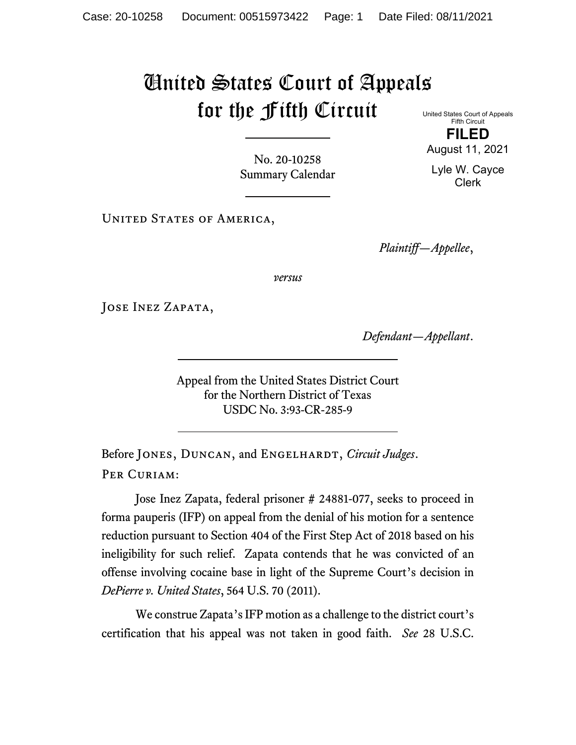## United States Court of Appeals for the Fifth Circuit United States Court of Appeals

**FILED**

No. 20-10258 Summary Calendar

UNITED STATES OF AMERICA,

*Plaintiff—Appellee*,

*versus*

JOSE INEZ ZAPATA,

*Defendant—Appellant*.

Appeal from the United States District Court for the Northern District of Texas USDC No. 3:93-CR-285-9

Before JONES, DUNCAN, and ENGELHARDT, *Circuit Judges*. PER CURIAM:

Jose Inez Zapata, federal prisoner # 24881-077, seeks to proceed in forma pauperis (IFP) on appeal from the denial of his motion for a sentence reduction pursuant to Section 404 of the First Step Act of 2018 based on his ineligibility for such relief. Zapata contends that he was convicted of an offense involving cocaine base in light of the Supreme Court's decision in *DePierre v. United States*, 564 U.S. 70 (2011).

We construe Zapata's IFP motion as a challenge to the district court's certification that his appeal was not taken in good faith. *See* 28 U.S.C.

Fifth Circuit

August 11, 2021

Lyle W. Cayce Clerk